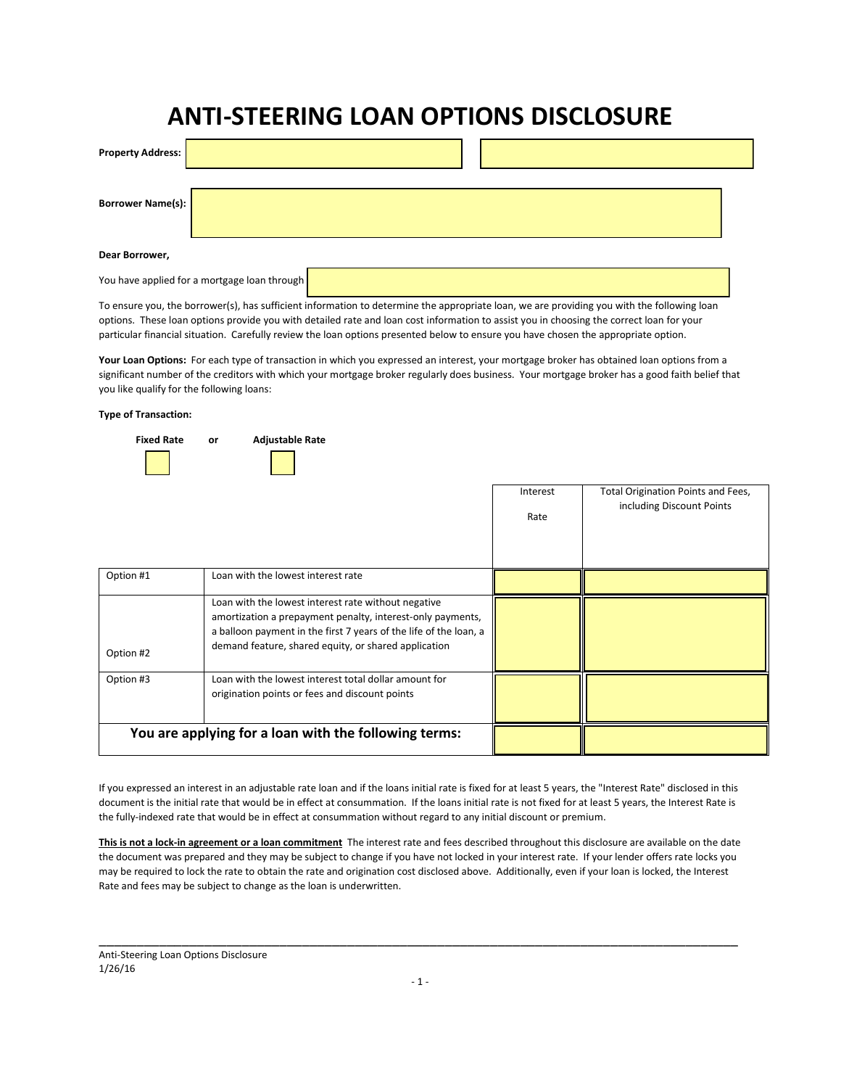## ANTI-STEERING LOAN OPTIONS DISCLOSURE

| <b>Property Address:</b> |  |
|--------------------------|--|
| Borrower Name(s):        |  |
| Dear Borrower,           |  |

You have applied for a mortgage loan through

To ensure you, the borrower(s), has sufficient information to determine the appropriate loan, we are providing you with the following loan options. These loan options provide you with detailed rate and loan cost information to assist you in choosing the correct loan for your particular financial situation. Carefully review the loan options presented below to ensure you have chosen the appropriate option.

Your Loan Options: For each type of transaction in which you expressed an interest, your mortgage broker has obtained loan options from a significant number of the creditors with which your mortgage broker regularly does business. Your mortgage broker has a good faith belief that you like qualify for the following loans:

## Type of Transaction:



|           |                                                                                                                                                                                                                                                | Interest<br>Rate | Total Origination Points and Fees,<br>including Discount Points |
|-----------|------------------------------------------------------------------------------------------------------------------------------------------------------------------------------------------------------------------------------------------------|------------------|-----------------------------------------------------------------|
| Option #1 | Loan with the lowest interest rate                                                                                                                                                                                                             |                  |                                                                 |
| Option #2 | Loan with the lowest interest rate without negative<br>amortization a prepayment penalty, interest-only payments,<br>a balloon payment in the first 7 years of the life of the loan, a<br>demand feature, shared equity, or shared application |                  |                                                                 |
| Option #3 | Loan with the lowest interest total dollar amount for<br>origination points or fees and discount points                                                                                                                                        |                  |                                                                 |
|           | You are applying for a loan with the following terms:                                                                                                                                                                                          |                  |                                                                 |

If you expressed an interest in an adjustable rate loan and if the loans initial rate is fixed for at least 5 years, the "Interest Rate" disclosed in this document is the initial rate that would be in effect at consummation. If the loans initial rate is not fixed for at least 5 years, the Interest Rate is the fully-indexed rate that would be in effect at consummation without regard to any initial discount or premium.

This is not a lock-in agreement or a loan commitment The interest rate and fees described throughout this disclosure are available on the date the document was prepared and they may be subject to change if you have not locked in your interest rate. If your lender offers rate locks you may be required to lock the rate to obtain the rate and origination cost disclosed above. Additionally, even if your loan is locked, the Interest Rate and fees may be subject to change as the loan is underwritten.

\_\_\_\_\_\_\_\_\_\_\_\_\_\_\_\_\_\_\_\_\_\_\_\_\_\_\_\_\_\_\_\_\_\_\_\_\_\_\_\_\_\_\_\_\_\_\_\_\_\_\_\_\_\_\_\_\_\_\_\_\_\_\_\_\_\_\_\_\_\_\_\_\_\_\_\_\_\_\_\_\_\_\_\_\_